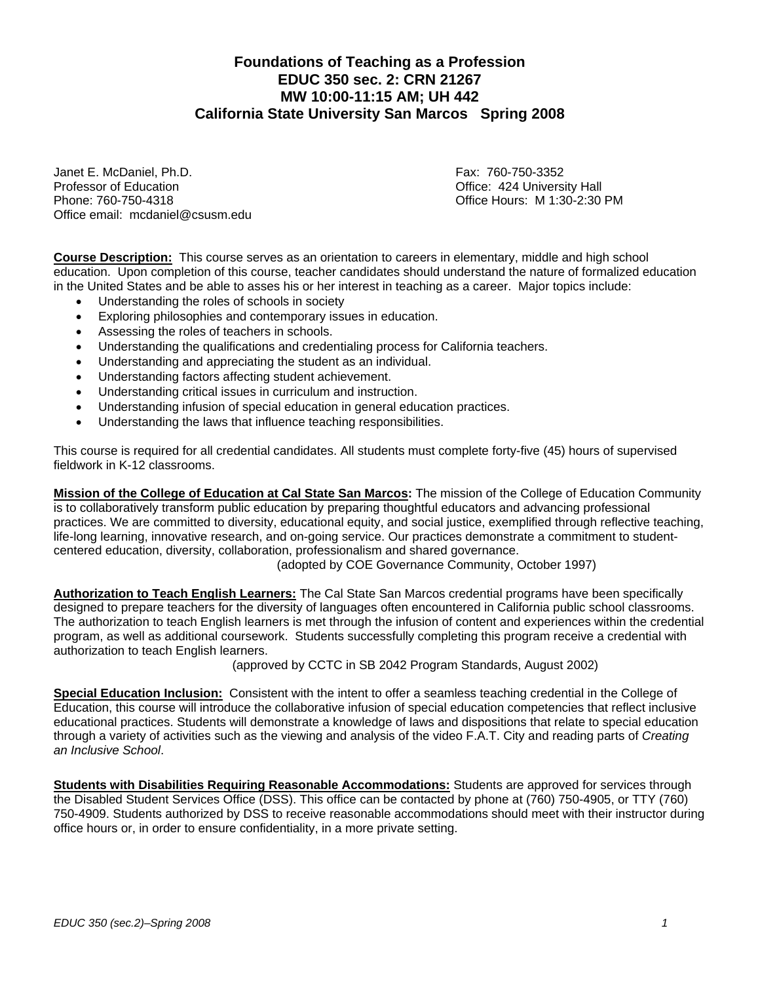# **Foundations of Teaching as a Profession EDUC 350 sec. 2: CRN 21267 MW 10:00-11:15 AM; UH 442 California State University San Marcos Spring 2008**

Janet E. McDaniel, Ph.D. Fax: 760-750-3352 Professor of Education **Contract Contract Contract Contract Contract Contract Contract Contract Contract Contract Contract Contract Contract Contract Contract Contract Contract Contract Contract Contract Contract Contract** Phone: 760-750-4318 Office Hours: M 1:30-2:30 PM Office email: mcdaniel@csusm.edu

**Course Description:** This course serves as an orientation to careers in elementary, middle and high school education. Upon completion of this course, teacher candidates should understand the nature of formalized education in the United States and be able to asses his or her interest in teaching as a career. Major topics include:

- Understanding the roles of schools in society
- Exploring philosophies and contemporary issues in education.
- Assessing the roles of teachers in schools.
- Understanding the qualifications and credentialing process for California teachers.
- Understanding and appreciating the student as an individual.
- Understanding factors affecting student achievement.
- Understanding critical issues in curriculum and instruction.
- Understanding infusion of special education in general education practices.
- Understanding the laws that influence teaching responsibilities.

This course is required for all credential candidates. All students must complete forty-five (45) hours of supervised fieldwork in K-12 classrooms.

**Mission of the College of Education at Cal State San Marcos:** The mission of the College of Education Community is to collaboratively transform public education by preparing thoughtful educators and advancing professional practices. We are committed to diversity, educational equity, and social justice, exemplified through reflective teaching, life-long learning, innovative research, and on-going service. Our practices demonstrate a commitment to studentcentered education, diversity, collaboration, professionalism and shared governance.

(adopted by COE Governance Community, October 1997)

**Authorization to Teach English Learners:** The Cal State San Marcos credential programs have been specifically designed to prepare teachers for the diversity of languages often encountered in California public school classrooms. The authorization to teach English learners is met through the infusion of content and experiences within the credential program, as well as additional coursework. Students successfully completing this program receive a credential with authorization to teach English learners.

(approved by CCTC in SB 2042 Program Standards, August 2002)

**Special Education Inclusion:** Consistent with the intent to offer a seamless teaching credential in the College of Education, this course will introduce the collaborative infusion of special education competencies that reflect inclusive educational practices. Students will demonstrate a knowledge of laws and dispositions that relate to special education through a variety of activities such as the viewing and analysis of the video F.A.T. City and reading parts of *Creating an Inclusive School*.

**Students with Disabilities Requiring Reasonable Accommodations:** Students are approved for services through the Disabled Student Services Office (DSS). This office can be contacted by phone at (760) 750-4905, or TTY (760) 750-4909. Students authorized by DSS to receive reasonable accommodations should meet with their instructor during office hours or, in order to ensure confidentiality, in a more private setting.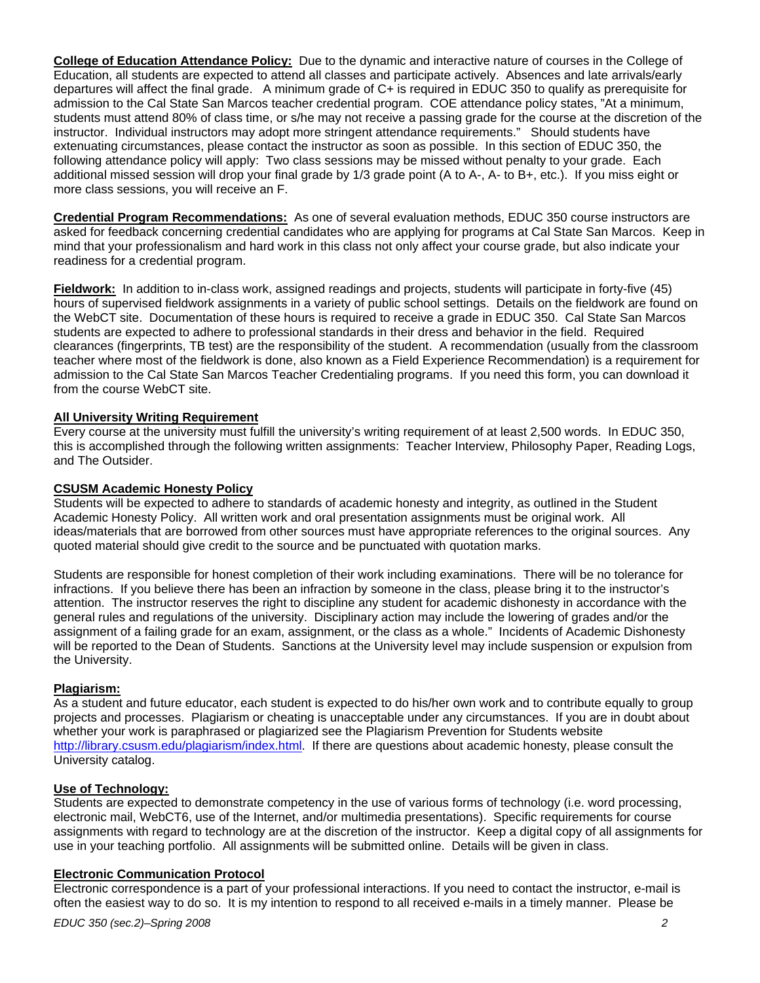**College of Education Attendance Policy:** Due to the dynamic and interactive nature of courses in the College of Education, all students are expected to attend all classes and participate actively. Absences and late arrivals/early departures will affect the final grade. A minimum grade of C+ is required in EDUC 350 to qualify as prerequisite for admission to the Cal State San Marcos teacher credential program. COE attendance policy states, "At a minimum, students must attend 80% of class time, or s/he may not receive a passing grade for the course at the discretion of the instructor. Individual instructors may adopt more stringent attendance requirements." Should students have extenuating circumstances, please contact the instructor as soon as possible. In this section of EDUC 350, the following attendance policy will apply: Two class sessions may be missed without penalty to your grade. Each additional missed session will drop your final grade by 1/3 grade point (A to A-, A- to B+, etc.). If you miss eight or more class sessions, you will receive an F.

**Credential Program Recommendations:** As one of several evaluation methods, EDUC 350 course instructors are asked for feedback concerning credential candidates who are applying for programs at Cal State San Marcos. Keep in mind that your professionalism and hard work in this class not only affect your course grade, but also indicate your readiness for a credential program.

**Fieldwork:** In addition to in-class work, assigned readings and projects, students will participate in forty-five (45) hours of supervised fieldwork assignments in a variety of public school settings. Details on the fieldwork are found on the WebCT site. Documentation of these hours is required to receive a grade in EDUC 350. Cal State San Marcos students are expected to adhere to professional standards in their dress and behavior in the field. Required clearances (fingerprints, TB test) are the responsibility of the student. A recommendation (usually from the classroom teacher where most of the fieldwork is done, also known as a Field Experience Recommendation) is a requirement for admission to the Cal State San Marcos Teacher Credentialing programs. If you need this form, you can download it from the course WebCT site.

## **All University Writing Requirement**

Every course at the university must fulfill the university's writing requirement of at least 2,500 words. In EDUC 350, this is accomplished through the following written assignments: Teacher Interview, Philosophy Paper, Reading Logs, and The Outsider.

### **CSUSM Academic Honesty Policy**

Students will be expected to adhere to standards of academic honesty and integrity, as outlined in the Student Academic Honesty Policy. All written work and oral presentation assignments must be original work. All ideas/materials that are borrowed from other sources must have appropriate references to the original sources. Any quoted material should give credit to the source and be punctuated with quotation marks.

Students are responsible for honest completion of their work including examinations. There will be no tolerance for infractions. If you believe there has been an infraction by someone in the class, please bring it to the instructor's attention. The instructor reserves the right to discipline any student for academic dishonesty in accordance with the general rules and regulations of the university. Disciplinary action may include the lowering of grades and/or the assignment of a failing grade for an exam, assignment, or the class as a whole." Incidents of Academic Dishonesty will be reported to the Dean of Students. Sanctions at the University level may include suspension or expulsion from the University.

## **Plagiarism:**

As a student and future educator, each student is expected to do his/her own work and to contribute equally to group projects and processes. Plagiarism or cheating is unacceptable under any circumstances. If you are in doubt about whether your work is paraphrased or plagiarized see the Plagiarism Prevention for Students website http://library.csusm.edu/plagiarism/index.html. If there are questions about academic honesty, please consult the University catalog.

#### **Use of Technology:**

Students are expected to demonstrate competency in the use of various forms of technology (i.e. word processing, electronic mail, WebCT6, use of the Internet, and/or multimedia presentations). Specific requirements for course assignments with regard to technology are at the discretion of the instructor. Keep a digital copy of all assignments for use in your teaching portfolio. All assignments will be submitted online. Details will be given in class.

## **Electronic Communication Protocol**

Electronic correspondence is a part of your professional interactions. If you need to contact the instructor, e-mail is often the easiest way to do so. It is my intention to respond to all received e-mails in a timely manner. Please be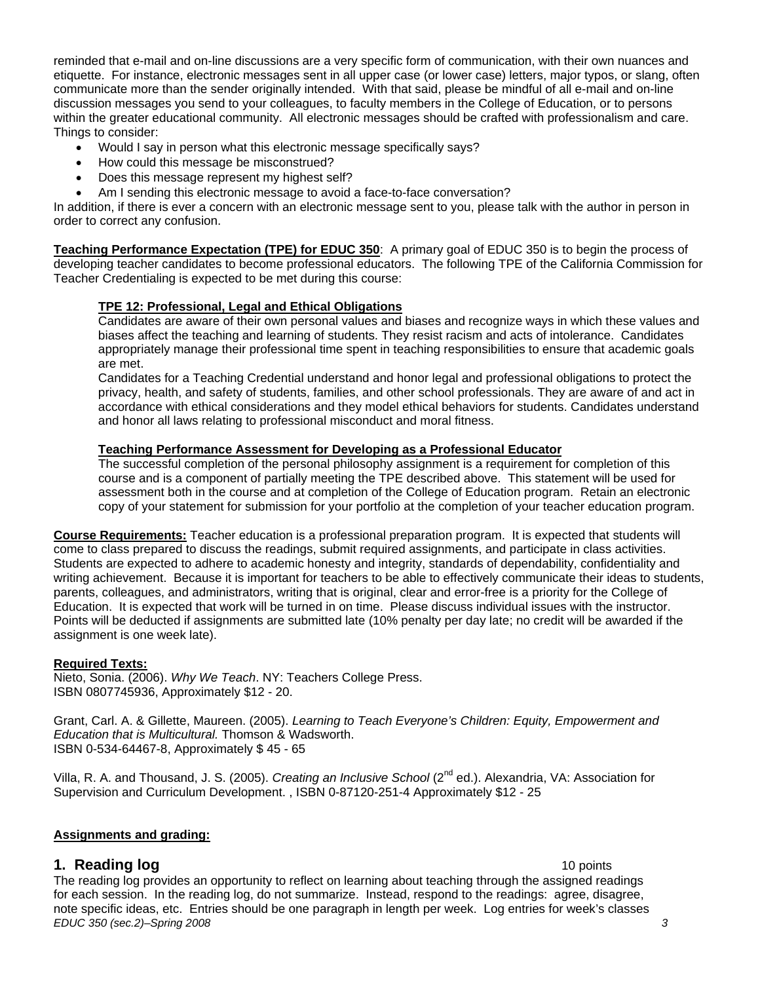reminded that e-mail and on-line discussions are a very specific form of communication, with their own nuances and etiquette. For instance, electronic messages sent in all upper case (or lower case) letters, major typos, or slang, often communicate more than the sender originally intended. With that said, please be mindful of all e-mail and on-line discussion messages you send to your colleagues, to faculty members in the College of Education, or to persons within the greater educational community. All electronic messages should be crafted with professionalism and care. Things to consider:

- Would I say in person what this electronic message specifically says?
- How could this message be misconstrued?
- Does this message represent my highest self?
- Am I sending this electronic message to avoid a face-to-face conversation?

In addition, if there is ever a concern with an electronic message sent to you, please talk with the author in person in order to correct any confusion.

**Teaching Performance Expectation (TPE) for EDUC 350**: A primary goal of EDUC 350 is to begin the process of developing teacher candidates to become professional educators. The following TPE of the California Commission for Teacher Credentialing is expected to be met during this course:

## **TPE 12: Professional, Legal and Ethical Obligations**

Candidates are aware of their own personal values and biases and recognize ways in which these values and biases affect the teaching and learning of students. They resist racism and acts of intolerance. Candidates appropriately manage their professional time spent in teaching responsibilities to ensure that academic goals are met.

Candidates for a Teaching Credential understand and honor legal and professional obligations to protect the privacy, health, and safety of students, families, and other school professionals. They are aware of and act in accordance with ethical considerations and they model ethical behaviors for students. Candidates understand and honor all laws relating to professional misconduct and moral fitness.

## **Teaching Performance Assessment for Developing as a Professional Educator**

The successful completion of the personal philosophy assignment is a requirement for completion of this course and is a component of partially meeting the TPE described above. This statement will be used for assessment both in the course and at completion of the College of Education program. Retain an electronic copy of your statement for submission for your portfolio at the completion of your teacher education program.

**Course Requirements:** Teacher education is a professional preparation program. It is expected that students will come to class prepared to discuss the readings, submit required assignments, and participate in class activities. Students are expected to adhere to academic honesty and integrity, standards of dependability, confidentiality and writing achievement. Because it is important for teachers to be able to effectively communicate their ideas to students, parents, colleagues, and administrators, writing that is original, clear and error-free is a priority for the College of Education. It is expected that work will be turned in on time. Please discuss individual issues with the instructor. Points will be deducted if assignments are submitted late (10% penalty per day late; no credit will be awarded if the assignment is one week late).

#### **Required Texts:**

Nieto, Sonia. (2006). *Why We Teach*. NY: Teachers College Press. ISBN 0807745936, Approximately \$12 - 20.

Grant, Carl. A. & Gillette, Maureen. (2005). *Learning to Teach Everyone's Children: Equity, Empowerment and Education that is Multicultural.* Thomson & Wadsworth. ISBN 0-534-64467-8, Approximately \$ 45 - 65

Villa, R. A. and Thousand, J. S. (2005). *Creating an Inclusive School* (2nd ed.). Alexandria, VA: Association for Supervision and Curriculum Development. , ISBN 0-87120-251-4 Approximately \$12 - 25

## **Assignments and grading:**

# **1. Reading log** 20 points **10 points** 20 points **10 points**

*EDUC 350 (sec.2)–Spring 2008 3*  The reading log provides an opportunity to reflect on learning about teaching through the assigned readings for each session. In the reading log, do not summarize. Instead, respond to the readings: agree, disagree, note specific ideas, etc. Entries should be one paragraph in length per week. Log entries for week's classes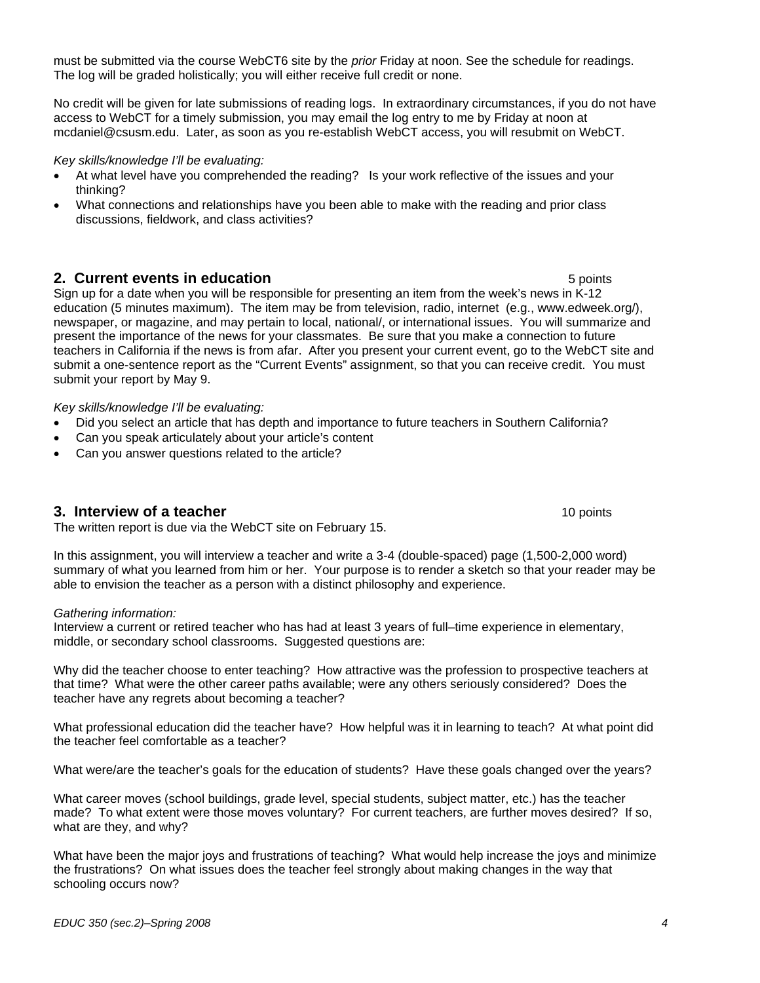must be submitted via the course WebCT6 site by the *prior* Friday at noon. See the schedule for readings. The log will be graded holistically; you will either receive full credit or none.

No credit will be given for late submissions of reading logs. In extraordinary circumstances, if you do not have access to WebCT for a timely submission, you may email the log entry to me by Friday at noon at mcdaniel@csusm.edu. Later, as soon as you re-establish WebCT access, you will resubmit on WebCT.

#### *Key skills/knowledge I'll be evaluating:*

- At what level have you comprehended the reading? Is your work reflective of the issues and your thinking?
- What connections and relationships have you been able to make with the reading and prior class discussions, fieldwork, and class activities?

# **2. Current events in education** 5 points 5 points

Sign up for a date when you will be responsible for presenting an item from the week's news in K-12 education (5 minutes maximum). The item may be from television, radio, internet (e.g., www.edweek.org/), newspaper, or magazine, and may pertain to local, national/, or international issues. You will summarize and present the importance of the news for your classmates. Be sure that you make a connection to future teachers in California if the news is from afar. After you present your current event, go to the WebCT site and submit a one-sentence report as the "Current Events" assignment, so that you can receive credit. You must submit your report by May 9.

*Key skills/knowledge I'll be evaluating:* 

- Did you select an article that has depth and importance to future teachers in Southern California?
- Can you speak articulately about your article's content
- Can you answer questions related to the article?

# **3. Interview of a teacher** 10 points

The written report is due via the WebCT site on February 15.

In this assignment, you will interview a teacher and write a 3-4 (double-spaced) page (1,500-2,000 word) summary of what you learned from him or her. Your purpose is to render a sketch so that your reader may be able to envision the teacher as a person with a distinct philosophy and experience.

#### *Gathering information:*

Interview a current or retired teacher who has had at least 3 years of full–time experience in elementary, middle, or secondary school classrooms. Suggested questions are:

Why did the teacher choose to enter teaching? How attractive was the profession to prospective teachers at that time? What were the other career paths available; were any others seriously considered? Does the teacher have any regrets about becoming a teacher?

What professional education did the teacher have? How helpful was it in learning to teach? At what point did the teacher feel comfortable as a teacher?

What were/are the teacher's goals for the education of students? Have these goals changed over the years?

What career moves (school buildings, grade level, special students, subject matter, etc.) has the teacher made? To what extent were those moves voluntary? For current teachers, are further moves desired? If so, what are they, and why?

What have been the major joys and frustrations of teaching? What would help increase the joys and minimize the frustrations? On what issues does the teacher feel strongly about making changes in the way that schooling occurs now?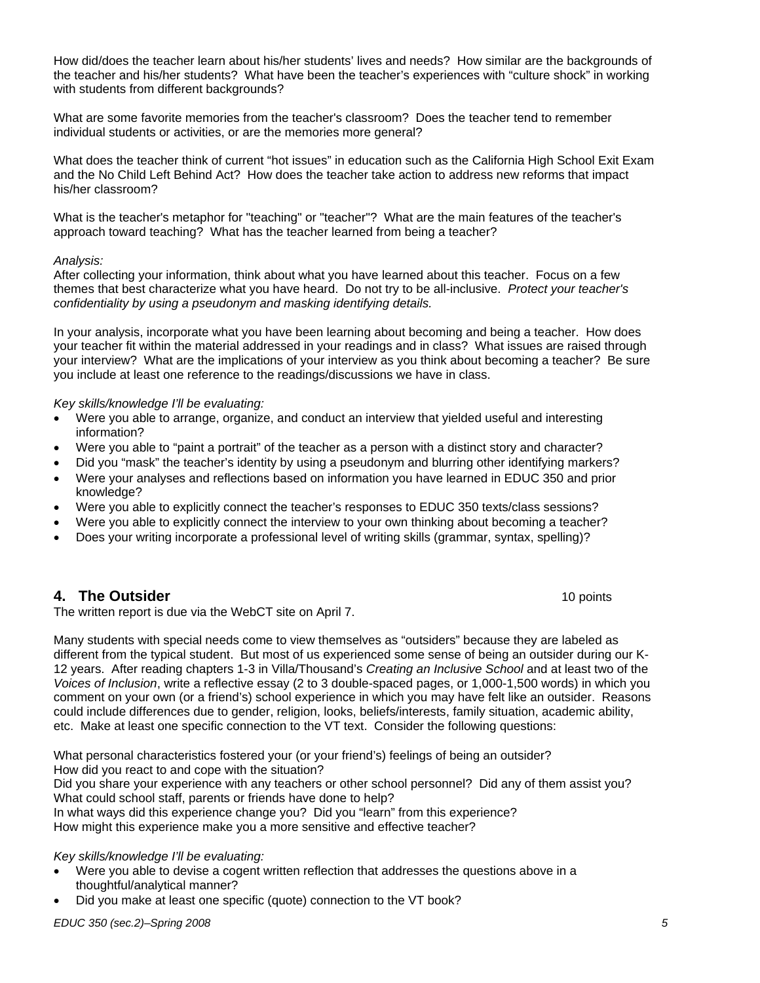How did/does the teacher learn about his/her students' lives and needs? How similar are the backgrounds of the teacher and his/her students? What have been the teacher's experiences with "culture shock" in working with students from different backgrounds?

What are some favorite memories from the teacher's classroom? Does the teacher tend to remember individual students or activities, or are the memories more general?

What does the teacher think of current "hot issues" in education such as the California High School Exit Exam and the No Child Left Behind Act? How does the teacher take action to address new reforms that impact his/her classroom?

What is the teacher's metaphor for "teaching" or "teacher"? What are the main features of the teacher's approach toward teaching? What has the teacher learned from being a teacher?

#### *Analysis:*

After collecting your information, think about what you have learned about this teacher. Focus on a few themes that best characterize what you have heard. Do not try to be all-inclusive. *Protect your teacher's confidentiality by using a pseudonym and masking identifying details.* 

In your analysis, incorporate what you have been learning about becoming and being a teacher. How does your teacher fit within the material addressed in your readings and in class? What issues are raised through your interview? What are the implications of your interview as you think about becoming a teacher? Be sure you include at least one reference to the readings/discussions we have in class.

#### *Key skills/knowledge I'll be evaluating:*

- Were you able to arrange, organize, and conduct an interview that yielded useful and interesting information?
- Were you able to "paint a portrait" of the teacher as a person with a distinct story and character?
- Did you "mask" the teacher's identity by using a pseudonym and blurring other identifying markers?
- Were your analyses and reflections based on information you have learned in EDUC 350 and prior knowledge?
- Were you able to explicitly connect the teacher's responses to EDUC 350 texts/class sessions?
- Were you able to explicitly connect the interview to your own thinking about becoming a teacher?
- Does your writing incorporate a professional level of writing skills (grammar, syntax, spelling)?

# **4. The Outsider** 10 points **10 points 10 points 10 points**

The written report is due via the WebCT site on April 7.

Many students with special needs come to view themselves as "outsiders" because they are labeled as different from the typical student. But most of us experienced some sense of being an outsider during our K-12 years. After reading chapters 1-3 in Villa/Thousand's *Creating an Inclusive School* and at least two of the *Voices of Inclusion*, write a reflective essay (2 to 3 double-spaced pages, or 1,000-1,500 words) in which you comment on your own (or a friend's) school experience in which you may have felt like an outsider. Reasons could include differences due to gender, religion, looks, beliefs/interests, family situation, academic ability, etc. Make at least one specific connection to the VT text. Consider the following questions:

What personal characteristics fostered your (or your friend's) feelings of being an outsider? How did you react to and cope with the situation?

Did you share your experience with any teachers or other school personnel? Did any of them assist you? What could school staff, parents or friends have done to help?

In what ways did this experience change you? Did you "learn" from this experience?

How might this experience make you a more sensitive and effective teacher?

#### *Key skills/knowledge I'll be evaluating:*

- Were you able to devise a cogent written reflection that addresses the questions above in a thoughtful/analytical manner?
- Did you make at least one specific (quote) connection to the VT book?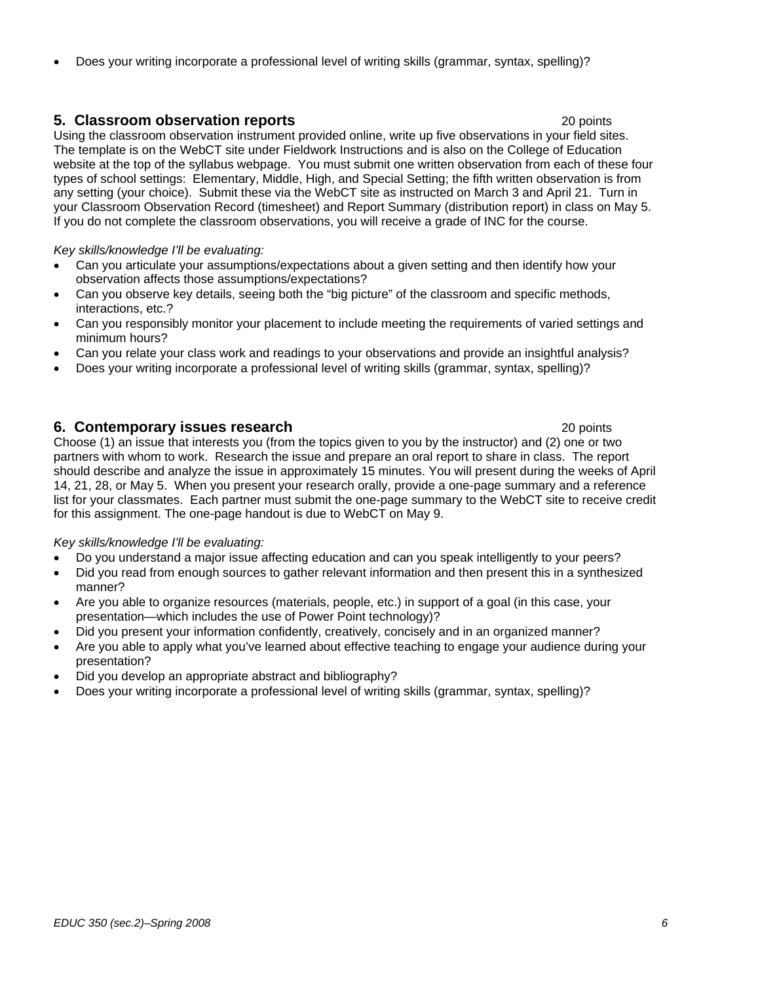• Does your writing incorporate a professional level of writing skills (grammar, syntax, spelling)?

# **5. Classroom observation reports** 20 points 20 points

Using the classroom observation instrument provided online, write up five observations in your field sites. The template is on the WebCT site under Fieldwork Instructions and is also on the College of Education website at the top of the syllabus webpage. You must submit one written observation from each of these four types of school settings: Elementary, Middle, High, and Special Setting; the fifth written observation is from any setting (your choice). Submit these via the WebCT site as instructed on March 3 and April 21. Turn in your Classroom Observation Record (timesheet) and Report Summary (distribution report) in class on May 5. If you do not complete the classroom observations, you will receive a grade of INC for the course.

### *Key skills/knowledge I'll be evaluating:*

- Can you articulate your assumptions/expectations about a given setting and then identify how your observation affects those assumptions/expectations?
- Can you observe key details, seeing both the "big picture" of the classroom and specific methods, interactions, etc.?
- Can you responsibly monitor your placement to include meeting the requirements of varied settings and minimum hours?
- Can you relate your class work and readings to your observations and provide an insightful analysis?
- Does your writing incorporate a professional level of writing skills (grammar, syntax, spelling)?

# **6. Contemporary issues research 20 points** 20 points

Choose (1) an issue that interests you (from the topics given to you by the instructor) and (2) one or two partners with whom to work. Research the issue and prepare an oral report to share in class. The report should describe and analyze the issue in approximately 15 minutes. You will present during the weeks of April 14, 21, 28, or May 5. When you present your research orally, provide a one-page summary and a reference list for your classmates. Each partner must submit the one-page summary to the WebCT site to receive credit for this assignment. The one-page handout is due to WebCT on May 9.

#### *Key skills/knowledge I'll be evaluating:*

- Do you understand a major issue affecting education and can you speak intelligently to your peers?
- Did you read from enough sources to gather relevant information and then present this in a synthesized manner?
- Are you able to organize resources (materials, people, etc.) in support of a goal (in this case, your presentation—which includes the use of Power Point technology)?
- Did you present your information confidently, creatively, concisely and in an organized manner?
- Are you able to apply what you've learned about effective teaching to engage your audience during your presentation?
- Did you develop an appropriate abstract and bibliography?
- Does your writing incorporate a professional level of writing skills (grammar, syntax, spelling)?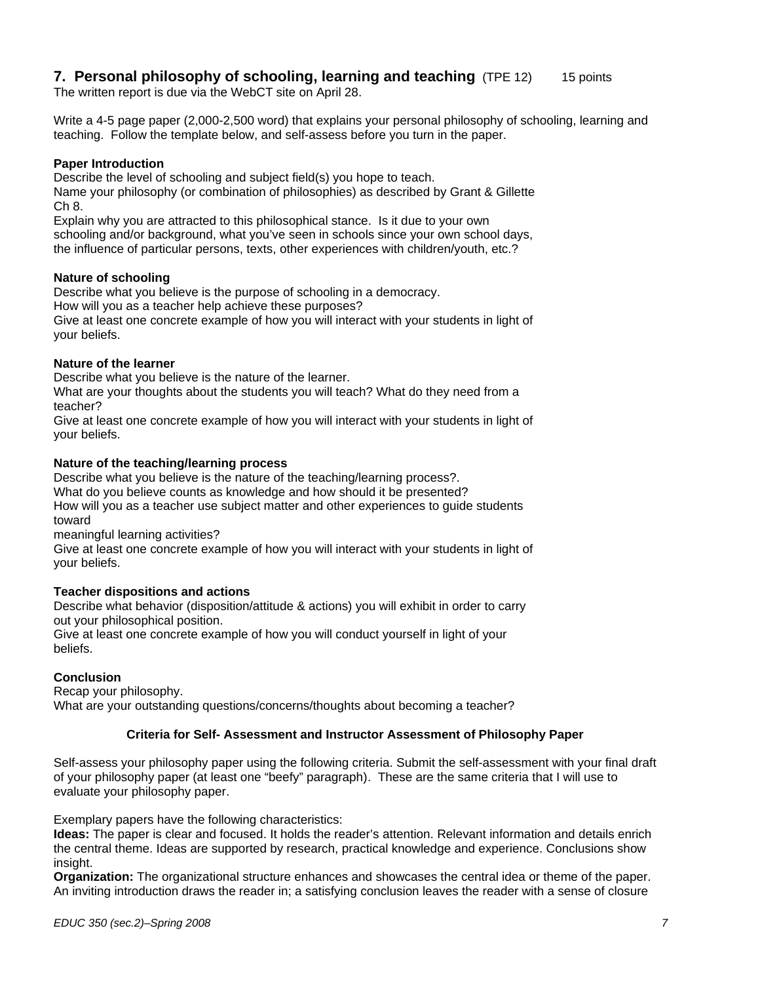# **7. Personal philosophy of schooling, learning and teaching** (TPE 12) 15 points

The written report is due via the WebCT site on April 28.

Write a 4-5 page paper (2,000-2,500 word) that explains your personal philosophy of schooling, learning and teaching. Follow the template below, and self-assess before you turn in the paper.

#### **Paper Introduction**

Describe the level of schooling and subject field(s) you hope to teach.

Name your philosophy (or combination of philosophies) as described by Grant & Gillette Ch 8.

Explain why you are attracted to this philosophical stance. Is it due to your own schooling and/or background, what you've seen in schools since your own school days, the influence of particular persons, texts, other experiences with children/youth, etc.?

### **Nature of schooling**

Describe what you believe is the purpose of schooling in a democracy.

How will you as a teacher help achieve these purposes?

Give at least one concrete example of how you will interact with your students in light of your beliefs.

### **Nature of the learner**

Describe what you believe is the nature of the learner.

What are your thoughts about the students you will teach? What do they need from a teacher?

Give at least one concrete example of how you will interact with your students in light of your beliefs.

### **Nature of the teaching/learning process**

Describe what you believe is the nature of the teaching/learning process?. What do you believe counts as knowledge and how should it be presented? How will you as a teacher use subject matter and other experiences to guide students toward

meaningful learning activities?

Give at least one concrete example of how you will interact with your students in light of your beliefs.

## **Teacher dispositions and actions**

Describe what behavior (disposition/attitude & actions) you will exhibit in order to carry out your philosophical position.

Give at least one concrete example of how you will conduct yourself in light of your beliefs.

## **Conclusion**

Recap your philosophy. What are your outstanding questions/concerns/thoughts about becoming a teacher?

#### **Criteria for Self- Assessment and Instructor Assessment of Philosophy Paper**

Self-assess your philosophy paper using the following criteria. Submit the self-assessment with your final draft of your philosophy paper (at least one "beefy" paragraph). These are the same criteria that I will use to evaluate your philosophy paper.

Exemplary papers have the following characteristics:

**Ideas:** The paper is clear and focused. It holds the reader's attention. Relevant information and details enrich the central theme. Ideas are supported by research, practical knowledge and experience. Conclusions show insight.

**Organization:** The organizational structure enhances and showcases the central idea or theme of the paper. An inviting introduction draws the reader in; a satisfying conclusion leaves the reader with a sense of closure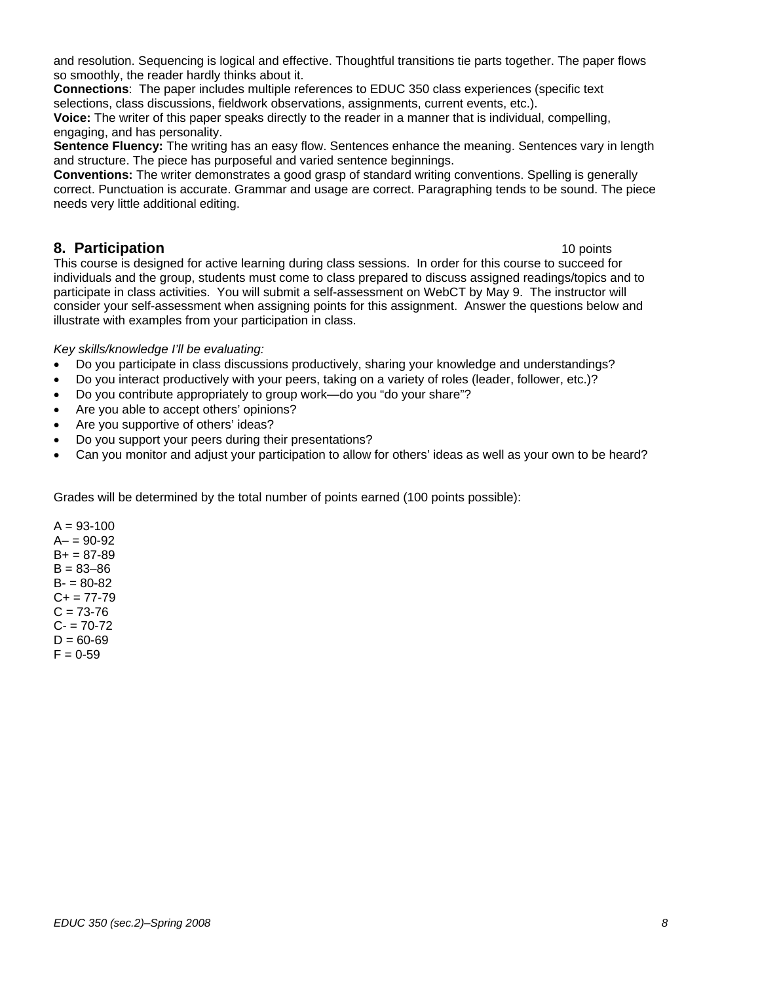and resolution. Sequencing is logical and effective. Thoughtful transitions tie parts together. The paper flows so smoothly, the reader hardly thinks about it.

**Connections**: The paper includes multiple references to EDUC 350 class experiences (specific text selections, class discussions, fieldwork observations, assignments, current events, etc.).

**Voice:** The writer of this paper speaks directly to the reader in a manner that is individual, compelling, engaging, and has personality.

**Sentence Fluency:** The writing has an easy flow. Sentences enhance the meaning. Sentences vary in length and structure. The piece has purposeful and varied sentence beginnings.

**Conventions:** The writer demonstrates a good grasp of standard writing conventions. Spelling is generally correct. Punctuation is accurate. Grammar and usage are correct. Paragraphing tends to be sound. The piece needs very little additional editing.

# **8. Participation** 10 **points** 10 **points** 10 **points**

This course is designed for active learning during class sessions. In order for this course to succeed for individuals and the group, students must come to class prepared to discuss assigned readings/topics and to participate in class activities. You will submit a self-assessment on WebCT by May 9. The instructor will consider your self-assessment when assigning points for this assignment. Answer the questions below and illustrate with examples from your participation in class.

*Key skills/knowledge I'll be evaluating:* 

- Do you participate in class discussions productively, sharing your knowledge and understandings?
- Do you interact productively with your peers, taking on a variety of roles (leader, follower, etc.)?
- Do you contribute appropriately to group work—do you "do your share"?
- Are you able to accept others' opinions?
- Are you supportive of others' ideas?
- Do you support your peers during their presentations?
- Can you monitor and adjust your participation to allow for others' ideas as well as your own to be heard?

Grades will be determined by the total number of points earned (100 points possible):

 $A = 93 - 100$  $A - 90 - 92$  $B+ = 87-89$  $B = 83 - 86$  $B - 80 - 82$  $C+= 77-79$  $C = 73 - 76$  $C - 70 - 72$  $D = 60 - 69$  $F = 0.59$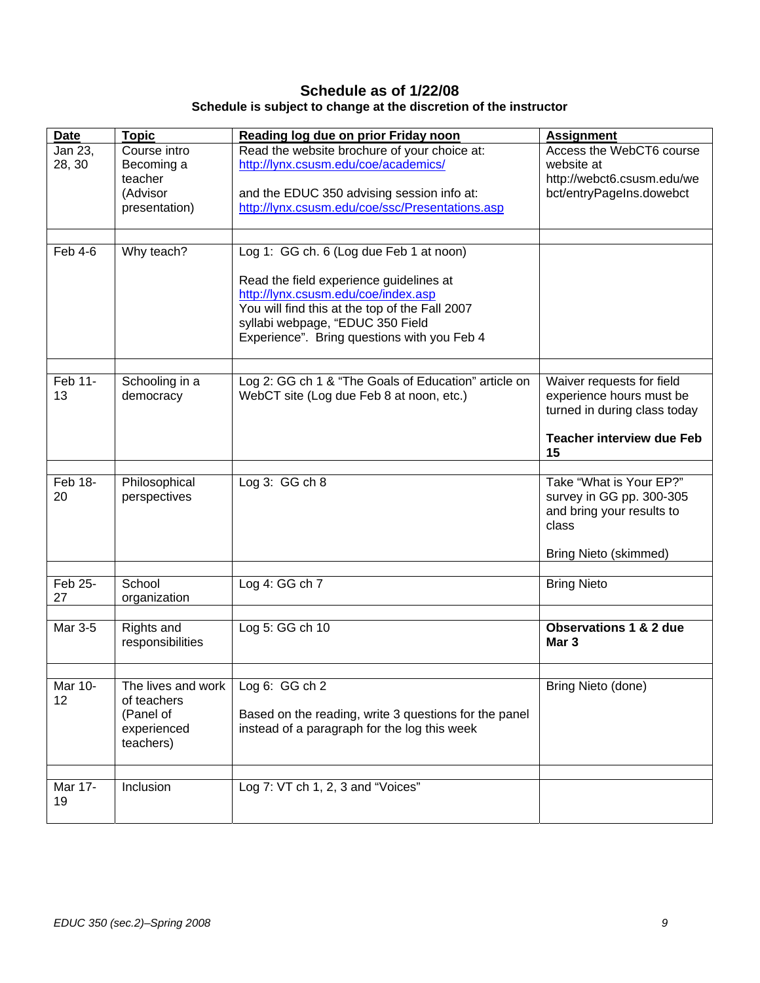# **Schedule as of 1/22/08 Schedule is subject to change at the discretion of the instructor**

| <b>Date</b>          | <b>Topic</b>                                                               | Reading log due on prior Friday noon                                                                                                                                                                                                                           | <b>Assignment</b>                                                                                |
|----------------------|----------------------------------------------------------------------------|----------------------------------------------------------------------------------------------------------------------------------------------------------------------------------------------------------------------------------------------------------------|--------------------------------------------------------------------------------------------------|
| Jan 23,<br>28, 30    | Course intro<br>Becoming a<br>teacher<br>(Advisor<br>presentation)         | Read the website brochure of your choice at:<br>http://lynx.csusm.edu/coe/academics/<br>and the EDUC 350 advising session info at:<br>http://lynx.csusm.edu/coe/ssc/Presentations.asp                                                                          | Access the WebCT6 course<br>website at<br>http://webct6.csusm.edu/we<br>bct/entryPageIns.dowebct |
|                      |                                                                            |                                                                                                                                                                                                                                                                |                                                                                                  |
| Feb 4-6              | Why teach?                                                                 | Log 1: GG ch. 6 (Log due Feb 1 at noon)<br>Read the field experience guidelines at<br>http://lynx.csusm.edu/coe/index.asp<br>You will find this at the top of the Fall 2007<br>syllabi webpage, "EDUC 350 Field<br>Experience". Bring questions with you Feb 4 |                                                                                                  |
|                      |                                                                            |                                                                                                                                                                                                                                                                |                                                                                                  |
| Feb 11-<br>13        | Schooling in a<br>democracy                                                | Log 2: GG ch 1 & "The Goals of Education" article on<br>WebCT site (Log due Feb 8 at noon, etc.)                                                                                                                                                               | Waiver requests for field<br>experience hours must be<br>turned in during class today            |
|                      |                                                                            |                                                                                                                                                                                                                                                                | <b>Teacher interview due Feb</b><br>15                                                           |
|                      |                                                                            |                                                                                                                                                                                                                                                                |                                                                                                  |
| <b>Feb 18-</b><br>20 | Philosophical<br>perspectives                                              | Log $3:GGch8$                                                                                                                                                                                                                                                  | Take "What is Your EP?"<br>survey in GG pp. 300-305<br>and bring your results to<br>class        |
|                      |                                                                            |                                                                                                                                                                                                                                                                | <b>Bring Nieto (skimmed)</b>                                                                     |
|                      |                                                                            |                                                                                                                                                                                                                                                                |                                                                                                  |
| Feb 25-<br>27        | School<br>organization                                                     | Log 4: GG ch 7                                                                                                                                                                                                                                                 | <b>Bring Nieto</b>                                                                               |
| Mar 3-5              | Rights and                                                                 | Log 5: GG ch 10                                                                                                                                                                                                                                                | Observations 1 & 2 due                                                                           |
|                      | responsibilities                                                           |                                                                                                                                                                                                                                                                | Mar <sub>3</sub>                                                                                 |
|                      |                                                                            |                                                                                                                                                                                                                                                                |                                                                                                  |
| Mar 10-<br>12        | The lives and work<br>of teachers<br>(Panel of<br>experienced<br>teachers) | Log $6:GGch2$<br>Based on the reading, write 3 questions for the panel<br>instead of a paragraph for the log this week                                                                                                                                         | Bring Nieto (done)                                                                               |
| Mar 17-              |                                                                            | Log 7: VT ch 1, 2, 3 and "Voices"                                                                                                                                                                                                                              |                                                                                                  |
| 19                   | Inclusion                                                                  |                                                                                                                                                                                                                                                                |                                                                                                  |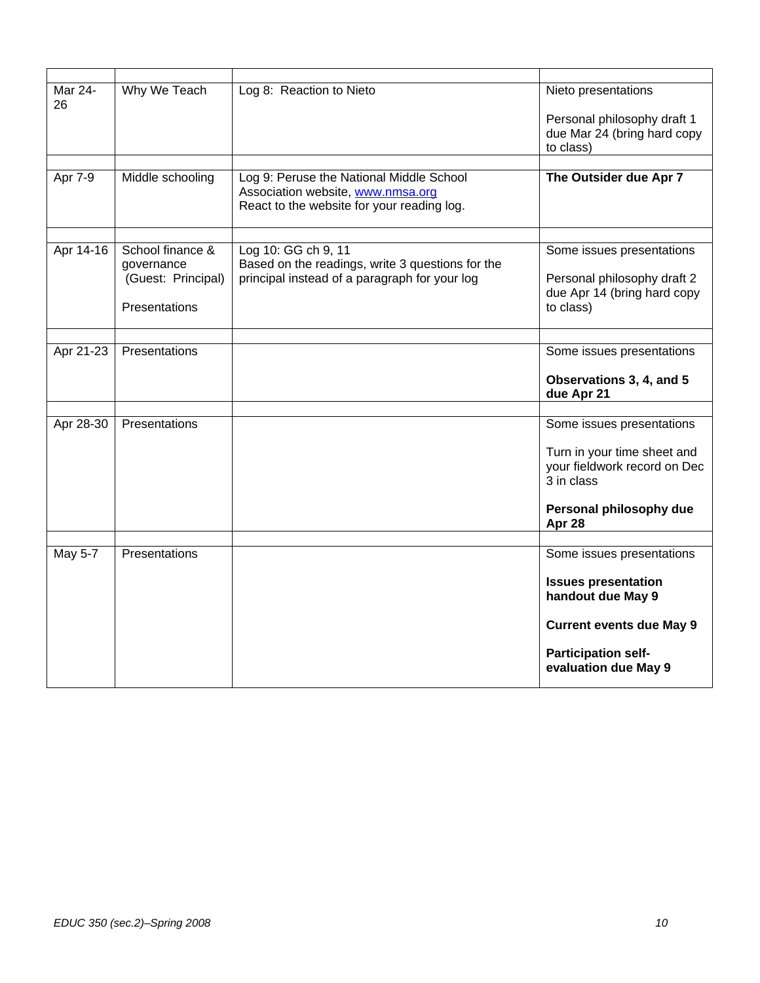| Mar 24-<br>26 | Why We Teach                     | Log 8: Reaction to Nieto                                                                                                    | Nieto presentations                                                       |
|---------------|----------------------------------|-----------------------------------------------------------------------------------------------------------------------------|---------------------------------------------------------------------------|
|               |                                  |                                                                                                                             | Personal philosophy draft 1<br>due Mar 24 (bring hard copy<br>to class)   |
| Apr 7-9       | Middle schooling                 | Log 9: Peruse the National Middle School<br>Association website, www.nmsa.org<br>React to the website for your reading log. | The Outsider due Apr 7                                                    |
| Apr 14-16     | School finance &                 | Log 10: GG ch 9, 11                                                                                                         | Some issues presentations                                                 |
|               | governance<br>(Guest: Principal) | Based on the readings, write 3 questions for the<br>principal instead of a paragraph for your log                           | Personal philosophy draft 2<br>due Apr 14 (bring hard copy                |
|               | Presentations                    |                                                                                                                             | to class)                                                                 |
|               |                                  |                                                                                                                             |                                                                           |
| Apr 21-23     | Presentations                    |                                                                                                                             | Some issues presentations                                                 |
|               |                                  |                                                                                                                             | Observations 3, 4, and 5<br>due Apr 21                                    |
|               |                                  |                                                                                                                             |                                                                           |
| Apr 28-30     | Presentations                    |                                                                                                                             | Some issues presentations                                                 |
|               |                                  |                                                                                                                             | Turn in your time sheet and<br>your fieldwork record on Dec<br>3 in class |
|               |                                  |                                                                                                                             | Personal philosophy due<br>Apr 28                                         |
| May 5-7       | Presentations                    |                                                                                                                             |                                                                           |
|               |                                  |                                                                                                                             | Some issues presentations                                                 |
|               |                                  |                                                                                                                             | <b>Issues presentation</b><br>handout due May 9                           |
|               |                                  |                                                                                                                             | <b>Current events due May 9</b>                                           |
|               |                                  |                                                                                                                             | <b>Participation self-</b><br>evaluation due May 9                        |